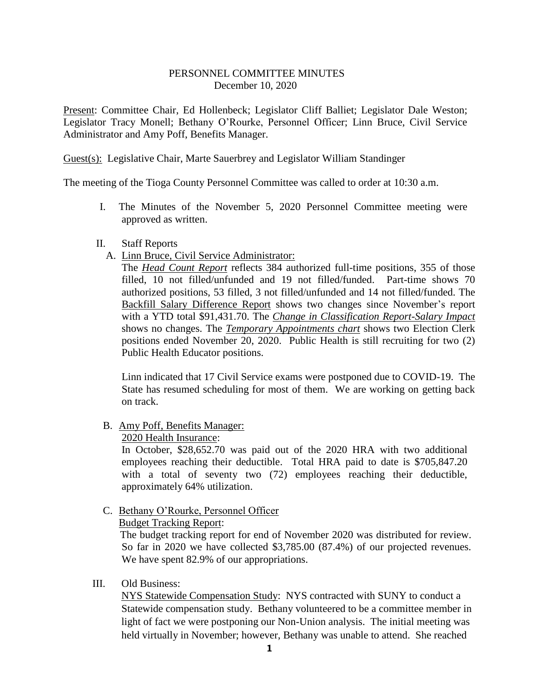## PERSONNEL COMMITTEE MINUTES December 10, 2020

Present: Committee Chair, Ed Hollenbeck; Legislator Cliff Balliet; Legislator Dale Weston; Legislator Tracy Monell; Bethany O'Rourke, Personnel Officer; Linn Bruce, Civil Service Administrator and Amy Poff, Benefits Manager.

Guest(s): Legislative Chair, Marte Sauerbrey and Legislator William Standinger

The meeting of the Tioga County Personnel Committee was called to order at 10:30 a.m.

I. The Minutes of the November 5, 2020 Personnel Committee meeting were approved as written.

### II. Staff Reports

A. Linn Bruce, Civil Service Administrator:

The *Head Count Report* reflects 384 authorized full-time positions, 355 of those filled, 10 not filled/unfunded and 19 not filled/funded. Part-time shows 70 authorized positions, 53 filled, 3 not filled/unfunded and 14 not filled/funded. The Backfill Salary Difference Report shows two changes since November's report with a YTD total \$91,431.70. The *Change in Classification Report-Salary Impact* shows no changes. The *Temporary Appointments chart* shows two Election Clerk positions ended November 20, 2020. Public Health is still recruiting for two (2) Public Health Educator positions.

Linn indicated that 17 Civil Service exams were postponed due to COVID-19. The State has resumed scheduling for most of them. We are working on getting back on track.

### B. Amy Poff, Benefits Manager:

2020 Health Insurance:

In October, \$28,652.70 was paid out of the 2020 HRA with two additional employees reaching their deductible. Total HRA paid to date is \$705,847.20 with a total of seventy two (72) employees reaching their deductible, approximately 64% utilization.

# C. Bethany O'Rourke, Personnel Officer

Budget Tracking Report:

 The budget tracking report for end of November 2020 was distributed for review. So far in 2020 we have collected \$3,785.00 (87.4%) of our projected revenues. We have spent 82.9% of our appropriations.

### III. Old Business:

NYS Statewide Compensation Study: NYS contracted with SUNY to conduct a Statewide compensation study. Bethany volunteered to be a committee member in light of fact we were postponing our Non-Union analysis. The initial meeting was held virtually in November; however, Bethany was unable to attend. She reached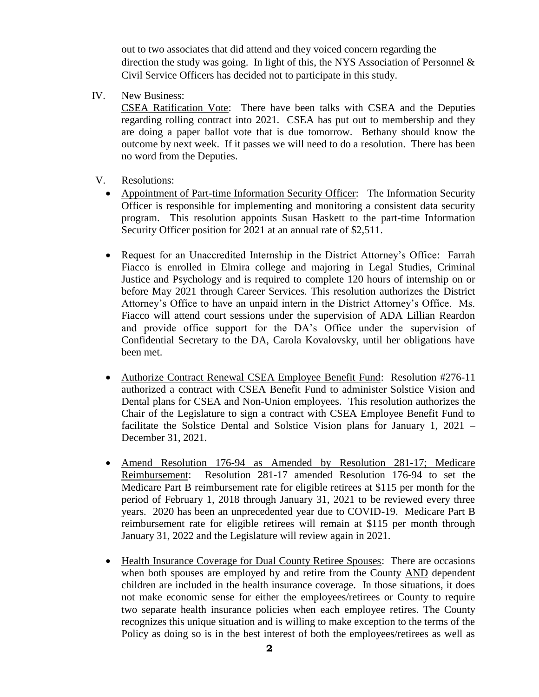out to two associates that did attend and they voiced concern regarding the direction the study was going. In light of this, the NYS Association of Personnel & Civil Service Officers has decided not to participate in this study.

IV. New Business:

CSEA Ratification Vote: There have been talks with CSEA and the Deputies regarding rolling contract into 2021. CSEA has put out to membership and they are doing a paper ballot vote that is due tomorrow. Bethany should know the outcome by next week. If it passes we will need to do a resolution. There has been no word from the Deputies.

- V. Resolutions:
	- Appointment of Part-time Information Security Officer: The Information Security Officer is responsible for implementing and monitoring a consistent data security program. This resolution appoints Susan Haskett to the part-time Information Security Officer position for 2021 at an annual rate of \$2,511.
	- Request for an Unaccredited Internship in the District Attorney's Office: Farrah Fiacco is enrolled in Elmira college and majoring in Legal Studies, Criminal Justice and Psychology and is required to complete 120 hours of internship on or before May 2021 through Career Services. This resolution authorizes the District Attorney's Office to have an unpaid intern in the District Attorney's Office. Ms. Fiacco will attend court sessions under the supervision of ADA Lillian Reardon and provide office support for the DA's Office under the supervision of Confidential Secretary to the DA, Carola Kovalovsky, until her obligations have been met.
	- Authorize Contract Renewal CSEA Employee Benefit Fund: Resolution #276-11 authorized a contract with CSEA Benefit Fund to administer Solstice Vision and Dental plans for CSEA and Non-Union employees. This resolution authorizes the Chair of the Legislature to sign a contract with CSEA Employee Benefit Fund to facilitate the Solstice Dental and Solstice Vision plans for January 1, 2021 – December 31, 2021.
	- Amend Resolution 176-94 as Amended by Resolution 281-17; Medicare Reimbursement: Resolution 281-17 amended Resolution 176-94 to set the Medicare Part B reimbursement rate for eligible retirees at \$115 per month for the period of February 1, 2018 through January 31, 2021 to be reviewed every three years. 2020 has been an unprecedented year due to COVID-19. Medicare Part B reimbursement rate for eligible retirees will remain at \$115 per month through January 31, 2022 and the Legislature will review again in 2021.
	- Health Insurance Coverage for Dual County Retiree Spouses: There are occasions when both spouses are employed by and retire from the County AND dependent children are included in the health insurance coverage. In those situations, it does not make economic sense for either the employees/retirees or County to require two separate health insurance policies when each employee retires. The County recognizes this unique situation and is willing to make exception to the terms of the Policy as doing so is in the best interest of both the employees/retirees as well as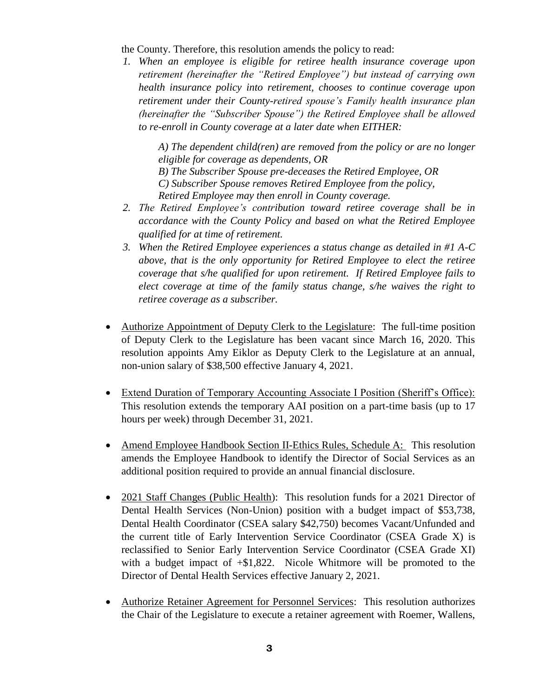the County. Therefore, this resolution amends the policy to read:

*1. When an employee is eligible for retiree health insurance coverage upon retirement (hereinafter the "Retired Employee") but instead of carrying own health insurance policy into retirement, chooses to continue coverage upon retirement under their County-retired spouse's Family health insurance plan (hereinafter the "Subscriber Spouse") the Retired Employee shall be allowed to re-enroll in County coverage at a later date when EITHER:*

> *A) The dependent child(ren) are removed from the policy or are no longer eligible for coverage as dependents, OR B) The Subscriber Spouse pre-deceases the Retired Employee, OR C) Subscriber Spouse removes Retired Employee from the policy, Retired Employee may then enroll in County coverage.*

- *2. The Retired Employee's contribution toward retiree coverage shall be in accordance with the County Policy and based on what the Retired Employee qualified for at time of retirement.*
- *3. When the Retired Employee experiences a status change as detailed in #1 A-C above, that is the only opportunity for Retired Employee to elect the retiree coverage that s/he qualified for upon retirement. If Retired Employee fails to elect coverage at time of the family status change, s/he waives the right to retiree coverage as a subscriber.*
- Authorize Appointment of Deputy Clerk to the Legislature: The full-time position of Deputy Clerk to the Legislature has been vacant since March 16, 2020. This resolution appoints Amy Eiklor as Deputy Clerk to the Legislature at an annual, non-union salary of \$38,500 effective January 4, 2021.
- Extend Duration of Temporary Accounting Associate I Position (Sheriff's Office): This resolution extends the temporary AAI position on a part-time basis (up to 17 hours per week) through December 31, 2021.
- Amend Employee Handbook Section II-Ethics Rules, Schedule A: This resolution amends the Employee Handbook to identify the Director of Social Services as an additional position required to provide an annual financial disclosure.
- 2021 Staff Changes (Public Health): This resolution funds for a 2021 Director of Dental Health Services (Non-Union) position with a budget impact of \$53,738, Dental Health Coordinator (CSEA salary \$42,750) becomes Vacant/Unfunded and the current title of Early Intervention Service Coordinator (CSEA Grade X) is reclassified to Senior Early Intervention Service Coordinator (CSEA Grade XI) with a budget impact of  $+\$1,822$ . Nicole Whitmore will be promoted to the Director of Dental Health Services effective January 2, 2021.
- Authorize Retainer Agreement for Personnel Services: This resolution authorizes the Chair of the Legislature to execute a retainer agreement with Roemer, Wallens,